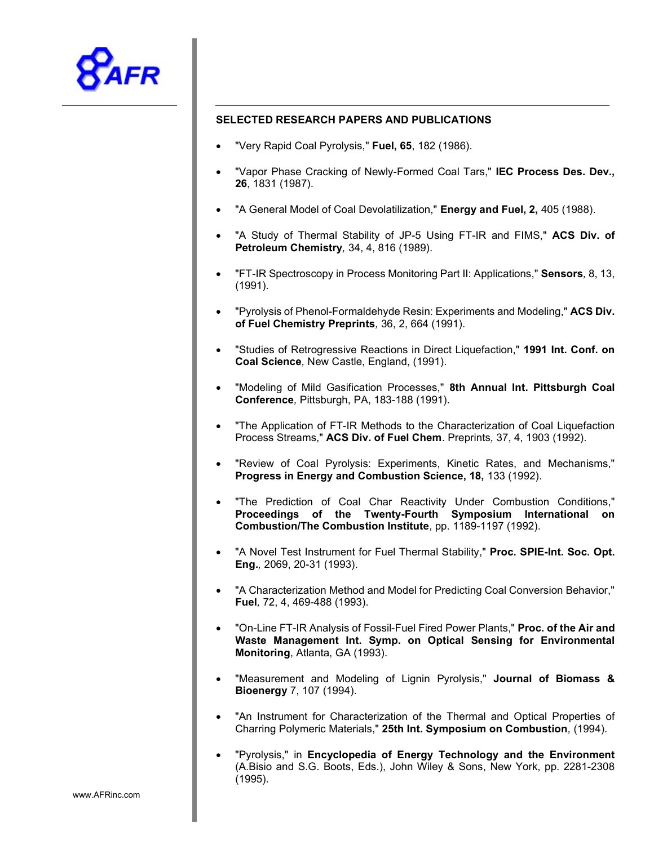

## SELECTED RESEARCH PAPERS AND PUBLICATIONS

- "Very Rapid Coal Pyrolysis," Fuel, 65, 182 (1986).
- "Vapor Phase Cracking of Newly-Formed Coal Tars," IEC Process Des. Dev., 26, 1831 (1987).
- "A General Model of Coal Devolatilization," Energy and Fuel, 2, 405 (1988).
- "A Study of Thermal Stability of JP-5 Using FT-IR and FIMS," ACS Div. of Petroleum Chemistry, 34, 4, 816 (1989).
- "FT-IR Spectroscopy in Process Monitoring Part II: Applications," Sensors, 8, 13, (1991).
- "Pyrolysis of Phenol-Formaldehyde Resin: Experiments and Modeling," ACS Div. of Fuel Chemistry Preprints, 36, 2, 664 (1991).
- "Studies of Retrogressive Reactions in Direct Liquefaction," 1991 Int. Conf. on Coal Science, New Castle, England, (1991).
- "Modeling of Mild Gasification Processes," 8th Annual Int. Pittsburgh Coal Conference, Pittsburgh, PA, 183-188 (1991).
- "The Application of FT-IR Methods to the Characterization of Coal Liquefaction Process Streams," ACS Div. of Fuel Chem. Preprints, 37, 4, 1903 (1992).
- "Review of Coal Pyrolysis: Experiments, Kinetic Rates, and Mechanisms," Progress in Energy and Combustion Science, 18, 133 (1992).
- "The Prediction of Coal Char Reactivity Under Combustion Conditions," Proceedings of the Twenty-Fourth Symposium International on Combustion/The Combustion Institute, pp. 1189-1197 (1992).
- "A Novel Test Instrument for Fuel Thermal Stability," Proc. SPIE-Int. Soc. Opt. Eng., 2069, 20-31 (1993).
- "A Characterization Method and Model for Predicting Coal Conversion Behavior," Fuel, 72, 4, 469-488 (1993).
- "On-Line FT-IR Analysis of Fossil-Fuel Fired Power Plants," Proc. of the Air and Waste Management Int. Symp. on Optical Sensing for Environmental Monitoring, Atlanta, GA (1993).
- "Measurement and Modeling of Lignin Pyrolysis," Journal of Biomass & Bioenergy 7, 107 (1994).
- "An Instrument for Characterization of the Thermal and Optical Properties of Charring Polymeric Materials," 25th Int. Symposium on Combustion, (1994).
- "Pyrolysis," in Encyclopedia of Energy Technology and the Environment (A.Bisio and S.G. Boots, Eds.), John Wiley & Sons, New York, pp. 2281-2308 (1995).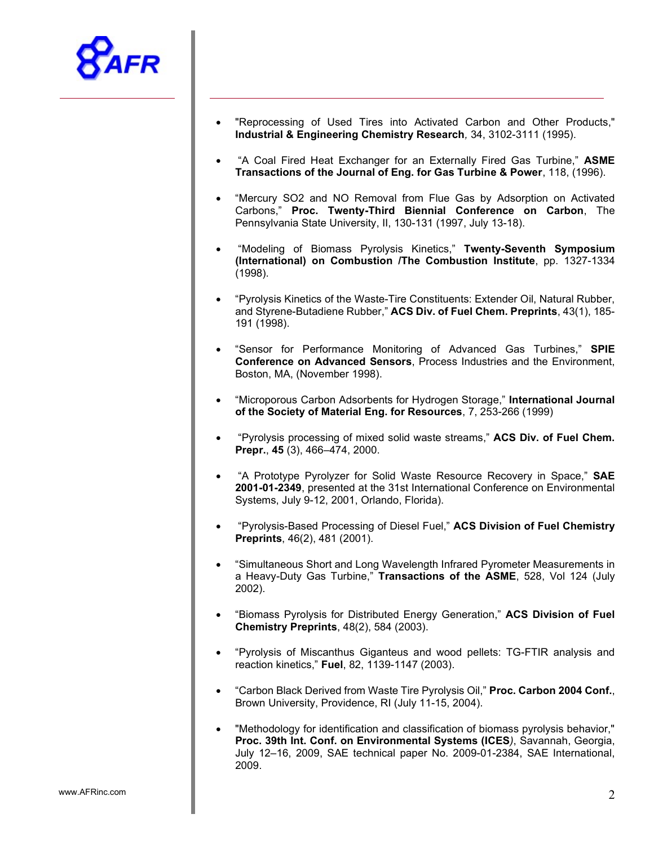

- "Reprocessing of Used Tires into Activated Carbon and Other Products," Industrial & Engineering Chemistry Research, 34, 3102-3111 (1995).
- "A Coal Fired Heat Exchanger for an Externally Fired Gas Turbine," ASME Transactions of the Journal of Eng. for Gas Turbine & Power, 118, (1996).
- "Mercury SO2 and NO Removal from Flue Gas by Adsorption on Activated Carbons," Proc. Twenty-Third Biennial Conference on Carbon, The Pennsylvania State University, II, 130-131 (1997, July 13-18).
- "Modeling of Biomass Pyrolysis Kinetics," Twenty-Seventh Symposium (International) on Combustion /The Combustion Institute, pp. 1327-1334 (1998).
- "Pyrolysis Kinetics of the Waste-Tire Constituents: Extender Oil, Natural Rubber, and Styrene-Butadiene Rubber," ACS Div. of Fuel Chem. Preprints, 43(1), 185- 191 (1998).
- "Sensor for Performance Monitoring of Advanced Gas Turbines," SPIE Conference on Advanced Sensors, Process Industries and the Environment, Boston, MA, (November 1998).
- "Microporous Carbon Adsorbents for Hydrogen Storage," International Journal of the Society of Material Eng. for Resources, 7, 253-266 (1999)
- "Pyrolysis processing of mixed solid waste streams," ACS Div. of Fuel Chem. Prepr., 45 (3), 466–474, 2000.
- "A Prototype Pyrolyzer for Solid Waste Resource Recovery in Space," SAE 2001-01-2349, presented at the 31st International Conference on Environmental Systems, July 9-12, 2001, Orlando, Florida).
- "Pyrolysis-Based Processing of Diesel Fuel," ACS Division of Fuel Chemistry Preprints, 46(2), 481 (2001).
- "Simultaneous Short and Long Wavelength Infrared Pyrometer Measurements in a Heavy-Duty Gas Turbine," Transactions of the ASME, 528, Vol 124 (July 2002).
- "Biomass Pyrolysis for Distributed Energy Generation," ACS Division of Fuel Chemistry Preprints, 48(2), 584 (2003).
- "Pyrolysis of Miscanthus Giganteus and wood pellets: TG-FTIR analysis and reaction kinetics," Fuel, 82, 1139-1147 (2003).
- "Carbon Black Derived from Waste Tire Pyrolysis Oil," Proc. Carbon 2004 Conf., Brown University, Providence, RI (July 11-15, 2004).
- "Methodology for identification and classification of biomass pyrolysis behavior," Proc. 39th Int. Conf. on Environmental Systems (ICES), Savannah, Georgia, July 12–16, 2009, SAE technical paper No. 2009-01-2384, SAE International, 2009.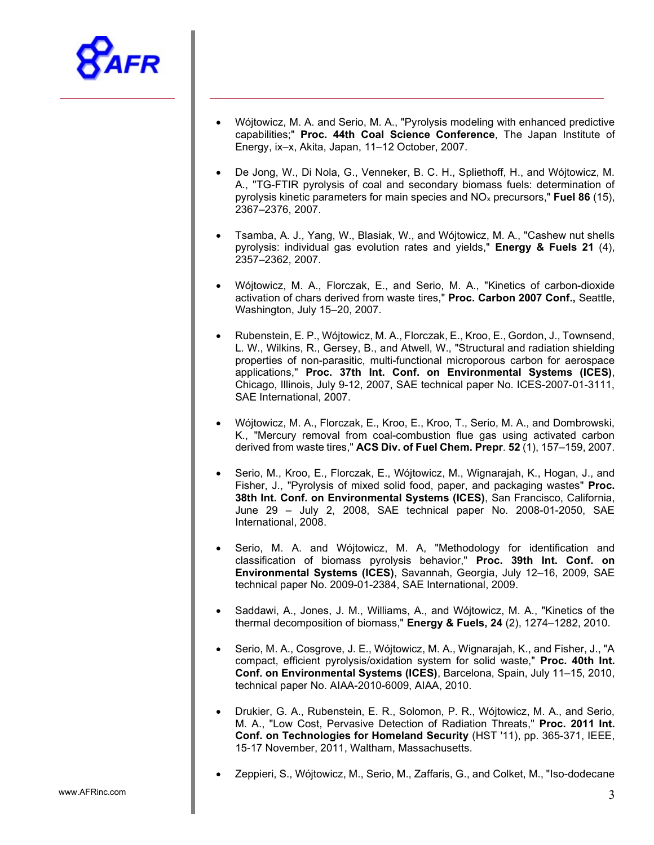

- Wójtowicz, M. A. and Serio, M. A., "Pyrolysis modeling with enhanced predictive capabilities;" Proc. 44th Coal Science Conference, The Japan Institute of Energy, ix–x, Akita, Japan, 11–12 October, 2007.
- De Jong, W., Di Nola, G., Venneker, B. C. H., Spliethoff, H., and Wójtowicz, M. A., "TG-FTIR pyrolysis of coal and secondary biomass fuels: determination of pyrolysis kinetic parameters for main species and  $NO<sub>x</sub>$  precursors," Fuel 86 (15), 2367–2376, 2007.
- Tsamba, A. J., Yang, W., Blasiak, W., and Wójtowicz, M. A., "Cashew nut shells pyrolysis: individual gas evolution rates and yields," Energy & Fuels 21 (4), 2357–2362, 2007.
- Wójtowicz, M. A., Florczak, E., and Serio, M. A., "Kinetics of carbon-dioxide activation of chars derived from waste tires," Proc. Carbon 2007 Conf., Seattle, Washington, July 15–20, 2007.
- Rubenstein, E. P., Wójtowicz, M. A., Florczak, E., Kroo, E., Gordon, J., Townsend, L. W., Wilkins, R., Gersey, B., and Atwell, W., "Structural and radiation shielding properties of non-parasitic, multi-functional microporous carbon for aerospace applications," Proc. 37th Int. Conf. on Environmental Systems (ICES), Chicago, Illinois, July 9-12, 2007, SAE technical paper No. ICES-2007-01-3111, SAE International, 2007.
- Wójtowicz, M. A., Florczak, E., Kroo, E., Kroo, T., Serio, M. A., and Dombrowski, K., "Mercury removal from coal-combustion flue gas using activated carbon derived from waste tires," ACS Div. of Fuel Chem. Prepr. 52 (1), 157–159, 2007.
- Serio, M., Kroo, E., Florczak, E., Wójtowicz, M., Wignarajah, K., Hogan, J., and Fisher, J., "Pyrolysis of mixed solid food, paper, and packaging wastes" Proc. 38th Int. Conf. on Environmental Systems (ICES), San Francisco, California, June 29 – July 2, 2008, SAE technical paper No. 2008-01-2050, SAE International, 2008.
- Serio, M. A. and Wójtowicz, M. A, "Methodology for identification and classification of biomass pyrolysis behavior," Proc. 39th Int. Conf. on Environmental Systems (ICES), Savannah, Georgia, July 12–16, 2009, SAE technical paper No. 2009-01-2384, SAE International, 2009.
- Saddawi, A., Jones, J. M., Williams, A., and Wójtowicz, M. A., "Kinetics of the thermal decomposition of biomass," Energy & Fuels, 24 (2), 1274–1282, 2010.
- Serio, M. A., Cosgrove, J. E., Wójtowicz, M. A., Wignarajah, K., and Fisher, J., "A compact, efficient pyrolysis/oxidation system for solid waste," Proc. 40th Int. Conf. on Environmental Systems (ICES), Barcelona, Spain, July 11–15, 2010, technical paper No. AIAA-2010-6009, AIAA, 2010.
- Drukier, G. A., Rubenstein, E. R., Solomon, P. R., Wójtowicz, M. A., and Serio, M. A., "Low Cost, Pervasive Detection of Radiation Threats," Proc. 2011 Int. Conf. on Technologies for Homeland Security (HST '11), pp. 365-371, IEEE, 15-17 November, 2011, Waltham, Massachusetts.
- Zeppieri, S., Wójtowicz, M., Serio, M., Zaffaris, G., and Colket, M., "Iso-dodecane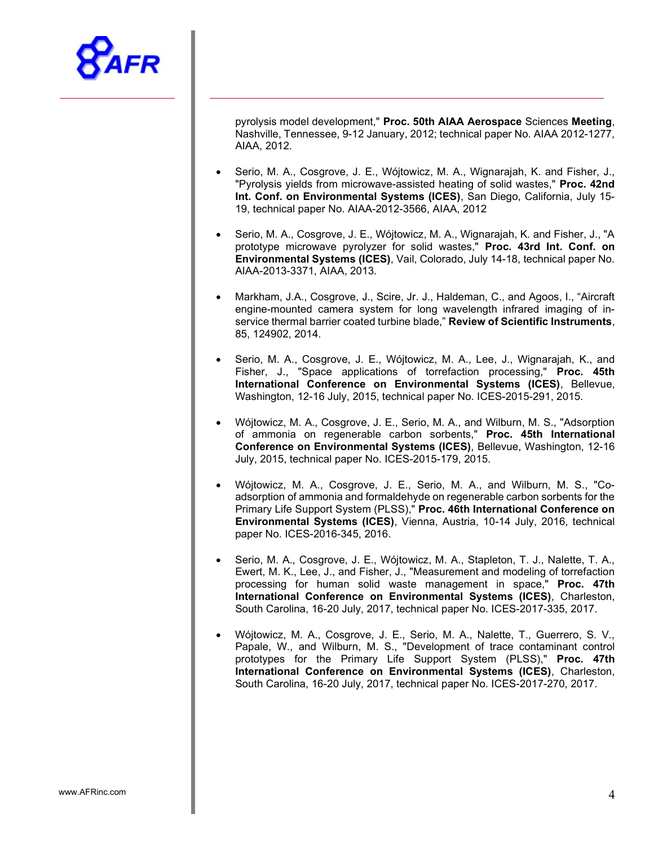

pyrolysis model development," Proc. 50th AIAA Aerospace Sciences Meeting, Nashville, Tennessee, 9-12 January, 2012; technical paper No. AIAA 2012-1277, AIAA, 2012.

- Serio, M. A., Cosgrove, J. E., Wójtowicz, M. A., Wignarajah, K. and Fisher, J., "Pyrolysis yields from microwave-assisted heating of solid wastes," Proc. 42nd Int. Conf. on Environmental Systems (ICES), San Diego, California, July 15- 19, technical paper No. AIAA-2012-3566, AIAA, 2012
- Serio, M. A., Cosgrove, J. E., Wójtowicz, M. A., Wignarajah, K. and Fisher, J., "A prototype microwave pyrolyzer for solid wastes," Proc. 43rd Int. Conf. on Environmental Systems (ICES), Vail, Colorado, July 14-18, technical paper No. AIAA-2013-3371, AIAA, 2013.
- Markham, J.A., Cosgrove, J., Scire, Jr. J., Haldeman, C., and Agoos, I., "Aircraft engine-mounted camera system for long wavelength infrared imaging of inservice thermal barrier coated turbine blade," Review of Scientific Instruments, 85, 124902, 2014.
- Serio, M. A., Cosgrove, J. E., Wójtowicz, M. A., Lee, J., Wignarajah, K., and Fisher, J., "Space applications of torrefaction processing," Proc. 45th International Conference on Environmental Systems (ICES), Bellevue, Washington, 12-16 July, 2015, technical paper No. ICES-2015-291, 2015.
- Wójtowicz, M. A., Cosgrove, J. E., Serio, M. A., and Wilburn, M. S., "Adsorption of ammonia on regenerable carbon sorbents," Proc. 45th International Conference on Environmental Systems (ICES), Bellevue, Washington, 12-16 July, 2015, technical paper No. ICES-2015-179, 2015.
- Wójtowicz, M. A., Cosgrove, J. E., Serio, M. A., and Wilburn, M. S., "Coadsorption of ammonia and formaldehyde on regenerable carbon sorbents for the Primary Life Support System (PLSS)," Proc. 46th International Conference on Environmental Systems (ICES), Vienna, Austria, 10-14 July, 2016, technical paper No. ICES-2016-345, 2016.
- Serio, M. A., Cosgrove, J. E., Wójtowicz, M. A., Stapleton, T. J., Nalette, T. A., Ewert, M. K., Lee, J., and Fisher, J., "Measurement and modeling of torrefaction processing for human solid waste management in space," Proc. 47th International Conference on Environmental Systems (ICES), Charleston, South Carolina, 16-20 July, 2017, technical paper No. ICES-2017-335, 2017.
- Wójtowicz, M. A., Cosgrove, J. E., Serio, M. A., Nalette, T., Guerrero, S. V., Papale, W., and Wilburn, M. S., "Development of trace contaminant control prototypes for the Primary Life Support System (PLSS)," Proc. 47th International Conference on Environmental Systems (ICES), Charleston, South Carolina, 16-20 July, 2017, technical paper No. ICES-2017-270, 2017.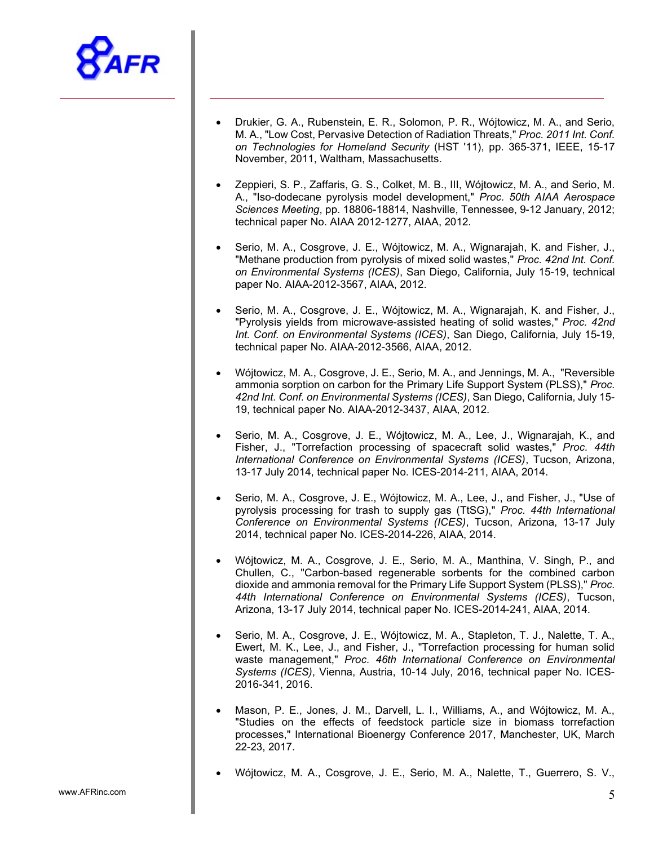

- Drukier, G. A., Rubenstein, E. R., Solomon, P. R., Wójtowicz, M. A., and Serio, M. A., "Low Cost, Pervasive Detection of Radiation Threats," Proc. 2011 Int. Conf. on Technologies for Homeland Security (HST '11), pp. 365-371, IEEE, 15-17 November, 2011, Waltham, Massachusetts.
- Zeppieri, S. P., Zaffaris, G. S., Colket, M. B., III, Wójtowicz, M. A., and Serio, M. A., "Iso-dodecane pyrolysis model development," Proc. 50th AIAA Aerospace Sciences Meeting, pp. 18806-18814, Nashville, Tennessee, 9-12 January, 2012; technical paper No. AIAA 2012-1277, AIAA, 2012.
- Serio, M. A., Cosgrove, J. E., Wójtowicz, M. A., Wignarajah, K. and Fisher, J., "Methane production from pyrolysis of mixed solid wastes," Proc. 42nd Int. Conf. on Environmental Systems (ICES), San Diego, California, July 15-19, technical paper No. AIAA-2012-3567, AIAA, 2012.
- Serio, M. A., Cosgrove, J. E., Wójtowicz, M. A., Wignarajah, K. and Fisher, J., "Pyrolysis yields from microwave-assisted heating of solid wastes," Proc. 42nd Int. Conf. on Environmental Systems (ICES), San Diego, California, July 15-19, technical paper No. AIAA-2012-3566, AIAA, 2012.
- Wójtowicz, M. A., Cosgrove, J. E., Serio, M. A., and Jennings, M. A., "Reversible ammonia sorption on carbon for the Primary Life Support System (PLSS)," Proc. 42nd Int. Conf. on Environmental Systems (ICES), San Diego, California, July 15- 19, technical paper No. AIAA-2012-3437, AIAA, 2012.
- Serio, M. A., Cosgrove, J. E., Wójtowicz, M. A., Lee, J., Wignarajah, K., and Fisher, J., "Torrefaction processing of spacecraft solid wastes," Proc. 44th International Conference on Environmental Systems (ICES), Tucson, Arizona, 13-17 July 2014, technical paper No. ICES-2014-211, AIAA, 2014.
- Serio, M. A., Cosgrove, J. E., Wójtowicz, M. A., Lee, J., and Fisher, J., "Use of pyrolysis processing for trash to supply gas (TtSG)," Proc. 44th International Conference on Environmental Systems (ICES), Tucson, Arizona, 13-17 July 2014, technical paper No. ICES-2014-226, AIAA, 2014.
- Wójtowicz, M. A., Cosgrove, J. E., Serio, M. A., Manthina, V. Singh, P., and Chullen, C., "Carbon-based regenerable sorbents for the combined carbon dioxide and ammonia removal for the Primary Life Support System (PLSS)," Proc. 44th International Conference on Environmental Systems (ICES), Tucson, Arizona, 13-17 July 2014, technical paper No. ICES-2014-241, AIAA, 2014.
- Serio, M. A., Cosgrove, J. E., Wójtowicz, M. A., Stapleton, T. J., Nalette, T. A., Ewert, M. K., Lee, J., and Fisher, J., "Torrefaction processing for human solid waste management," Proc. 46th International Conference on Environmental Systems (ICES), Vienna, Austria, 10-14 July, 2016, technical paper No. ICES-2016-341, 2016.
- Mason, P. E., Jones, J. M., Darvell, L. I., Williams, A., and Wójtowicz, M. A., "Studies on the effects of feedstock particle size in biomass torrefaction processes," International Bioenergy Conference 2017, Manchester, UK, March 22-23, 2017.
- Wójtowicz, M. A., Cosgrove, J. E., Serio, M. A., Nalette, T., Guerrero, S. V.,